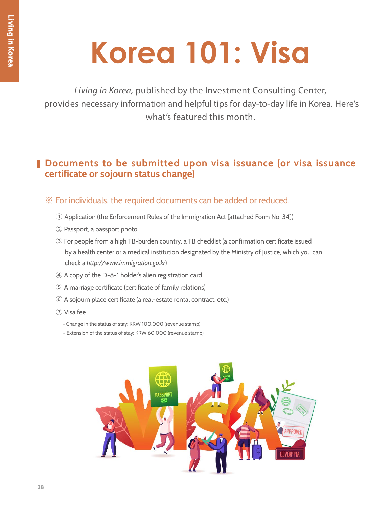*Living in Korea,* published by the Investment Consulting Center, provides necessary information and helpful tips for day-to-day life in Korea. Here's what's featured this month.

# **Documents to be submitted upon visa issuance (or visa issuance certificate or sojourn status change)**

## ※ For individuals, the required documents can be added or reduced.

- ① Application (the Enforcement Rules of the Immigration Act [attached Form No. 34])
- ② Passport, a passport photo
- ③ For people from a high TB-burden country, a TB checklist (a confirmation certificate issued by a health center or a medical institution designated by the Ministry of Justice, which you can check a *http://www.immigration.go.kr*)
- ④ A copy of the D-8-1 holder's alien registration card
- ⑤ A marriage certificate (certificate of family relations)
- ⑥ A sojourn place certificate (a real-estate rental contract, etc.)
- ⑦ Visa fee
	- Change in the status of stay: KRW 100,000 (revenue stamp)
	- Extension of the status of stay: KRW 60,000 (revenue stamp)